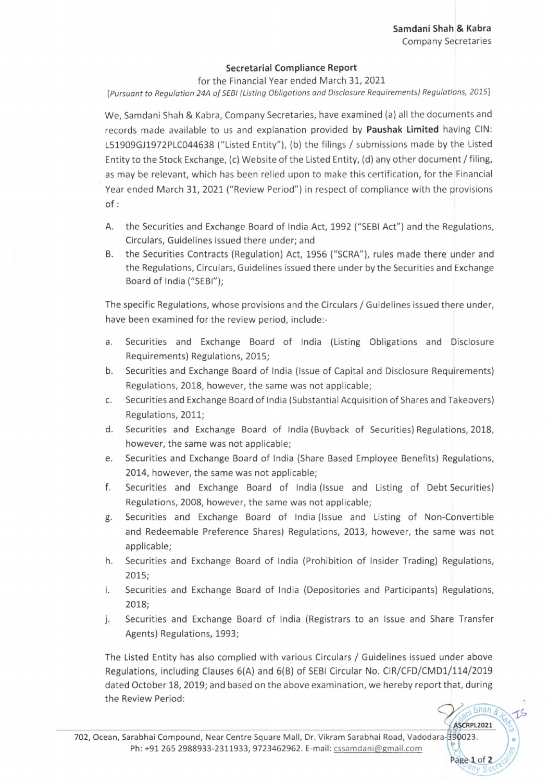Shah e ASCRPL2021

Page 1 of 2

## **Secretarial Compliance Report**

for the Financial Year ended March 31, 2021 *[Pursuant to Regulation 24A of SEBI (Listing Obligations and Disclosure Requirements) Regulations, 2015]* 

We, Samdani Shah & Kabra, Company Secretaries, have examined (a) all the documents and records made available to us and explanation provided by **Paushak Limited** having CIN: L51909GJ1972PLC044638 ("Listed Entity"), (b) the filings / submissions made by the Listed Entity to the Stock Exchange, (c) Website of the Listed Entity, (d) any other document / filing, as may be relevant, which has been relied upon to make this certification, for the Financial Year ended March 31, 2021 ("Review Period") in respect of compliance with the provisions of:

- A. the Securities and Exchange Board of India Act, 1992 ("SEBI Act") and the Regulations, Circulars, Guidelines issued there under; and
- B. the Securities Contracts (Regulation) Act, 1956 ("SCRA"), rules made there under and the Regulations, Circulars, Guidelines issued there under by the Securities and Exchange Board of India ("SEBI");

The specific Regulations, whose provisions and the Circulars / Guidelines issued there under, have been examined for the review period, include:-

- a. Securities and Exchange Board of India (Listing Obligations and Disclosure Requirements) Regulations, 2015;
- b. Securities and Exchange Board of India (Issue of Capital and Disclosure Requirements) Regulations, 2018, however, the same was not applicable;
- c. Securities and Exchange Board of India (Substantial Acquisition of Shares and Takeovers) Regulations, 2011;
- d. Securities and Exchange Board of India (Buyback of Securities) Regulations, 2018, however, the same was not applicable;
- e. Securities and Exchange Board of India (Share Based Employee Benefits) Regulations, 2014, however, the same was not applicable;
- f. Securities and Exchange Board of India (Issue and Listing of Debt Securities) Regulations, 2008, however, the same was not applicable;
- g. Securities and Exchange Board of India (Issue and Listing of Non-Convertible and Redeemable Preference Shares) Regulations, 2013, however, the same was not applicable;
- h. Securities and Exchange Board of India (Prohibition of Insider Trading) Regulations, 2015;
- i. Securities and Exchange Board of India (Depositories and Participants) Regulations, 2018;
- Securities and Exchange Board of India (Registrars to an Issue and Share Transfer j. Agents) Regulations, 1993;

The Listed Entity has also complied with various Circulars / Guidelines issued under above Regulations, including Clauses 6(4) and 6(B) of SEBI Circular No. CIR/CFD/CMD1/114/2019 dated October 18, 2019; and based on the above examination, we hereby report that, during the Review Period: